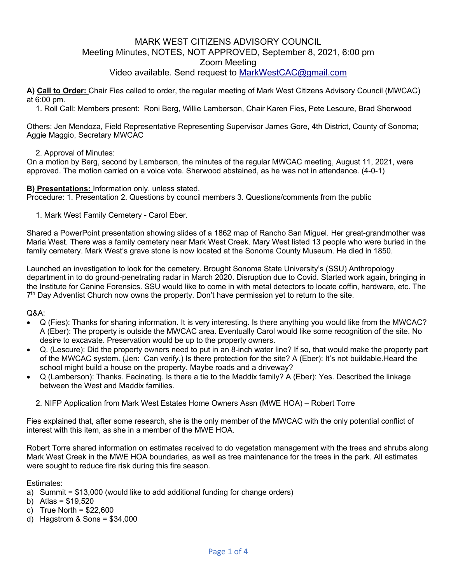## MARK WEST CITIZENS ADVISORY COUNCIL Meeting Minutes, NOTES, NOT APPROVED, September 8, 2021, 6:00 pm Zoom Meeting Video available. Send request to MarkWestCAC@gmail.com

**A) Call to Order:** Chair Fies called to order, the regular meeting of Mark West Citizens Advisory Council (MWCAC) at 6:00 pm.

1. Roll Call: Members present: Roni Berg, Willie Lamberson, Chair Karen Fies, Pete Lescure, Brad Sherwood

Others: Jen Mendoza, Field Representative Representing Supervisor James Gore, 4th District, County of Sonoma; Aggie Maggio, Secretary MWCAC

### 2. Approval of Minutes:

On a motion by Berg, second by Lamberson, the minutes of the regular MWCAC meeting, August 11, 2021, were approved. The motion carried on a voice vote. Sherwood abstained, as he was not in attendance. (4-0-1)

#### **B) Presentations:** Information only, unless stated.

Procedure: 1. Presentation 2. Questions by council members 3. Questions/comments from the public

1. Mark West Family Cemetery - Carol Eber.

Shared a PowerPoint presentation showing slides of a 1862 map of Rancho San Miguel. Her great-grandmother was Maria West. There was a family cemetery near Mark West Creek. Mary West listed 13 people who were buried in the family cemetery. Mark West's grave stone is now located at the Sonoma County Museum. He died in 1850.

Launched an investigation to look for the cemetery. Brought Sonoma State University's (SSU) Anthropology department in to do ground-penetrating radar in March 2020. Disruption due to Covid. Started work again, bringing in the Institute for Canine Forensics. SSU would like to come in with metal detectors to locate coffin, hardware, etc. The 7th Day Adventist Church now owns the property. Don't have permission yet to return to the site.

### $O&A$ :

- Q (Fies): Thanks for sharing information. It is very interesting. Is there anything you would like from the MWCAC? A (Eber): The property is outside the MWCAC area. Eventually Carol would like some recognition of the site. No desire to excavate. Preservation would be up to the property owners.
- Q. (Lescure): Did the property owners need to put in an 8-inch water line? If so, that would make the property part of the MWCAC system. (Jen: Can verify.) Is there protection for the site? A (Eber): It's not buildable.Heard the school might build a house on the property. Maybe roads and a driveway?
- Q (Lamberson): Thanks. Facinating. Is there a tie to the Maddix family? A (Eber): Yes. Described the linkage between the West and Maddix families.
	- 2. NIFP Application from Mark West Estates Home Owners Assn (MWE HOA) Robert Torre

Fies explained that, after some research, she is the only member of the MWCAC with the only potential conflict of interest with this item, as she in a member of the MWE HOA.

Robert Torre shared information on estimates received to do vegetation management with the trees and shrubs along Mark West Creek in the MWE HOA boundaries, as well as tree maintenance for the trees in the park. All estimates were sought to reduce fire risk during this fire season.

Estimates:

- a) Summit = \$13,000 (would like to add additional funding for change orders)
- b) Atlas = \$19,520
- c) True North =  $$22,600$
- d) Hagstrom & Sons = \$34,000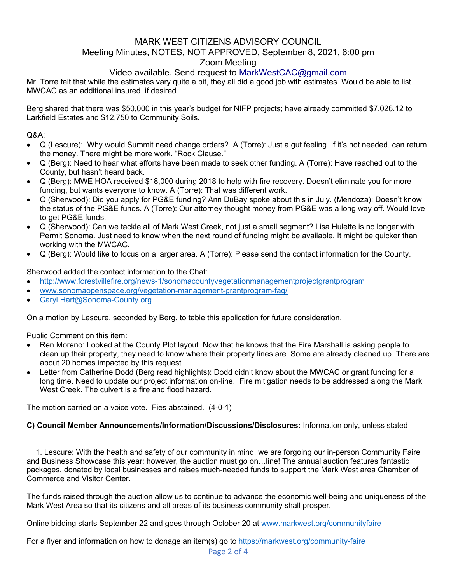# MARK WEST CITIZENS ADVISORY COUNCIL Meeting Minutes, NOTES, NOT APPROVED, September 8, 2021, 6:00 pm Zoom Meeting

# Video available. Send request to MarkWestCAC@gmail.com

Mr. Torre felt that while the estimates vary quite a bit, they all did a good job with estimates. Would be able to list MWCAC as an additional insured, if desired.

Berg shared that there was \$50,000 in this year's budget for NIFP projects; have already committed \$7,026.12 to Larkfield Estates and \$12,750 to Community Soils.

Q&A:

- Q (Lescure): Why would Summit need change orders? A (Torre): Just a gut feeling. If it's not needed, can return the money. There might be more work. "Rock Clause."
- Q (Berg): Need to hear what efforts have been made to seek other funding. A (Torre): Have reached out to the County, but hasn't heard back.
- Q (Berg): MWE HOA received \$18,000 during 2018 to help with fire recovery. Doesn't eliminate you for more funding, but wants everyone to know. A (Torre): That was different work.
- Q (Sherwood): Did you apply for PG&E funding? Ann DuBay spoke about this in July. (Mendoza): Doesn't know the status of the PG&E funds. A (Torre): Our attorney thought money from PG&E was a long way off. Would love to get PG&E funds.
- Q (Sherwood): Can we tackle all of Mark West Creek, not just a small segment? Lisa Hulette is no longer with Permit Sonoma. Just need to know when the next round of funding might be available. It might be quicker than working with the MWCAC.
- Q (Berg): Would like to focus on a larger area. A (Torre): Please send the contact information for the County.

Sherwood added the contact information to the Chat:

- http://www.forestvillefire.org/news-1/sonomacountyvegetationmanagementprojectgrantprogram
- www.sonomaopenspace.org/vegetation-management-grantprogram-faq/
- Caryl.Hart@Sonoma-County.org

On a motion by Lescure, seconded by Berg, to table this application for future consideration.

Public Comment on this item:

- Ren Moreno: Looked at the County Plot layout. Now that he knows that the Fire Marshall is asking people to clean up their property, they need to know where their property lines are. Some are already cleaned up. There are about 20 homes impacted by this request.
- Letter from Catherine Dodd (Berg read highlights): Dodd didn't know about the MWCAC or grant funding for a long time. Need to update our project information on-line. Fire mitigation needs to be addressed along the Mark West Creek. The culvert is a fire and flood hazard.

The motion carried on a voice vote. Fies abstained. (4-0-1)

## **C) Council Member Announcements/Information/Discussions/Disclosures:** Information only, unless stated

1. Lescure: With the health and safety of our community in mind, we are forgoing our in-person Community Faire and Business Showcase this year; however, the auction must go on…line! The annual auction features fantastic packages, donated by local businesses and raises much-needed funds to support the Mark West area Chamber of Commerce and Visitor Center.

The funds raised through the auction allow us to continue to advance the economic well-being and uniqueness of the Mark West Area so that its citizens and all areas of its business community shall prosper.

Online bidding starts September 22 and goes through October 20 at www.markwest.org/communityfaire

For a flyer and information on how to donage an item(s) go to https://markwest.org/community-faire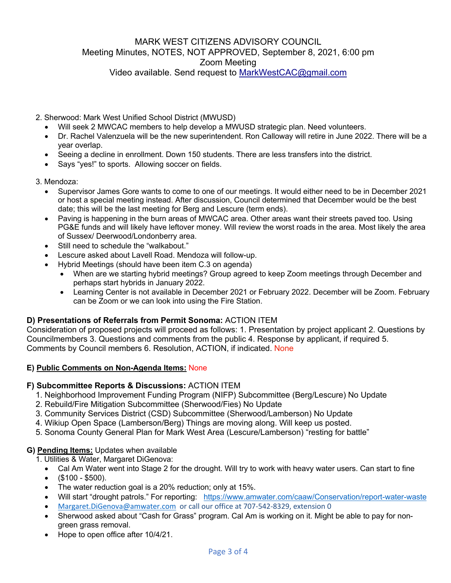# MARK WEST CITIZENS ADVISORY COUNCIL Meeting Minutes, NOTES, NOT APPROVED, September 8, 2021, 6:00 pm Zoom Meeting Video available. Send request to MarkWestCAC@gmail.com

2. Sherwood: Mark West Unified School District (MWUSD)

- Will seek 2 MWCAC members to help develop a MWUSD strategic plan. Need volunteers.
- Dr. Rachel Valenzuela will be the new superintendent. Ron Calloway will retire in June 2022. There will be a year overlap.
- Seeing a decline in enrollment. Down 150 students. There are less transfers into the district.
- Says "yes!" to sports. Allowing soccer on fields.
- 3. Mendoza:
	- Supervisor James Gore wants to come to one of our meetings. It would either need to be in December 2021 or host a special meeting instead. After discussion, Council determined that December would be the best date; this will be the last meeting for Berg and Lescure (term ends).
	- Paving is happening in the burn areas of MWCAC area. Other areas want their streets paved too. Using PG&E funds and will likely have leftover money. Will review the worst roads in the area. Most likely the area of Sussex/ Deerwood/Londonberry area.
	- Still need to schedule the "walkabout."
	- Lescure asked about Lavell Road. Mendoza will follow-up.
	- Hybrid Meetings (should have been item C.3 on agenda)
		- When are we starting hybrid meetings? Group agreed to keep Zoom meetings through December and perhaps start hybrids in January 2022.
		- Learning Center is not available in December 2021 or February 2022. December will be Zoom. February can be Zoom or we can look into using the Fire Station.

## **D) Presentations of Referrals from Permit Sonoma:** ACTION ITEM

Consideration of proposed projects will proceed as follows: 1. Presentation by project applicant 2. Questions by Councilmembers 3. Questions and comments from the public 4. Response by applicant, if required 5. Comments by Council members 6. Resolution, ACTION, if indicated. None

### **E) Public Comments on Non-Agenda Items:** None

### **F) Subcommittee Reports & Discussions:** ACTION ITEM

- 1. Neighborhood Improvement Funding Program (NIFP) Subcommittee (Berg/Lescure) No Update
- 2. Rebuild/Fire Mitigation Subcommittee (Sherwood/Fies) No Update
- 3. Community Services District (CSD) Subcommittee (Sherwood/Lamberson) No Update
- 4. Wikiup Open Space (Lamberson/Berg) Things are moving along. Will keep us posted.
- 5. Sonoma County General Plan for Mark West Area (Lescure/Lamberson) "resting for battle"

### **G) Pending Items:** Updates when available

- 1. Utilities & Water, Margaret DiGenova:
	- Cal Am Water went into Stage 2 for the drought. Will try to work with heavy water users. Can start to fine
	- $\bullet$  (\$100 \$500).
	- The water reduction goal is a 20% reduction; only at 15%.
	- Will start "drought patrols." For reporting: https://www.amwater.com/caaw/Conservation/report-water-waste
	- Margaret.DiGenova@amwater.com or call our office at 707-542-8329, extension 0
	- Sherwood asked about "Cash for Grass" program. Cal Am is working on it. Might be able to pay for nongreen grass removal.
	- Hope to open office after 10/4/21.